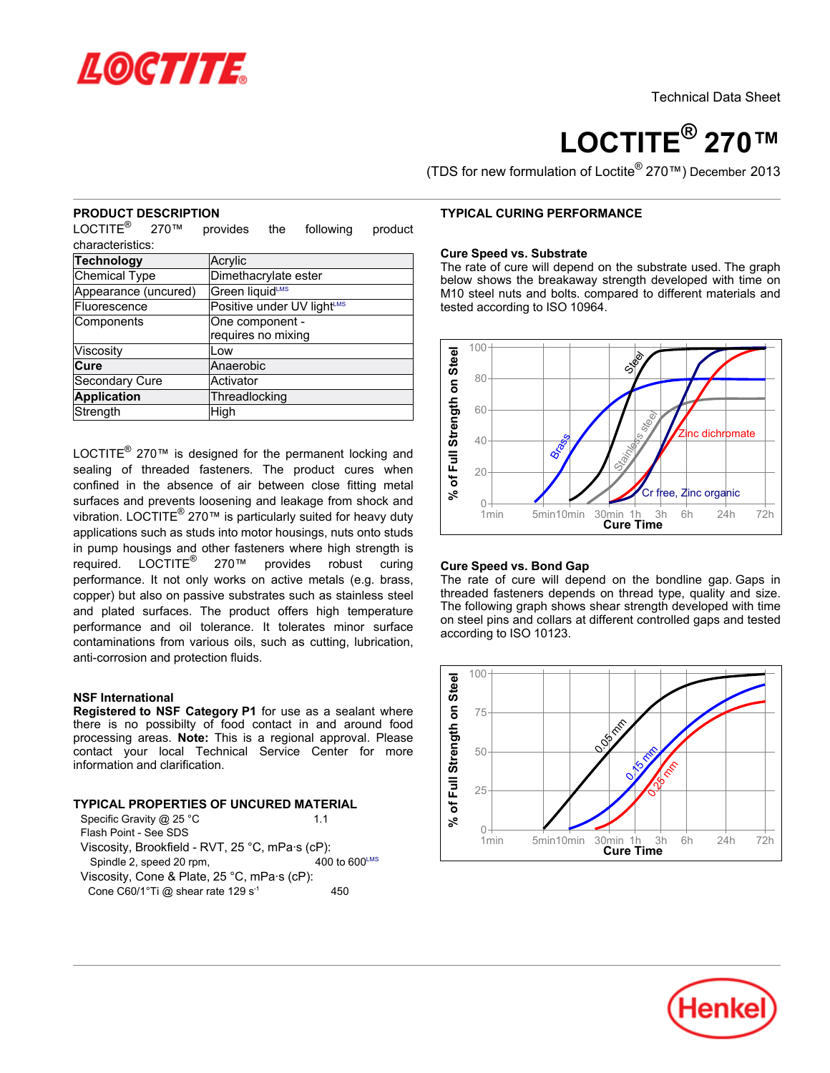

# **LOCTITE® 270™**

(TDS for new formulation of Loctite® 270™) December 2013

## **PRODUCT DESCRIPTION**

LOCTITE<sup>®</sup> 270<sup>™</sup> provides the following product characteristics:

| <b>Technology</b>                            | Acrylic                    |  |  |
|----------------------------------------------|----------------------------|--|--|
| <b>Chemical Type</b><br>Dimethacrylate ester |                            |  |  |
| Appearance (uncured)                         | Green liquidLMS            |  |  |
| Fluorescence                                 | Positive under UV lightLMS |  |  |
| Components                                   | One component -            |  |  |
|                                              | requires no mixing         |  |  |
| Viscosity                                    | Low                        |  |  |
| Cure                                         | Anaerobic                  |  |  |
| Secondary Cure                               | Activator                  |  |  |
| <b>Application</b>                           | Threadlocking              |  |  |
| Strength                                     | High                       |  |  |

LOCTITE $^{\circledR}$  270<sup> $m$ </sup> is designed for the permanent locking and sealing of threaded fasteners. The product cures when confined in the absence of air between close fitting metal surfaces and prevents loosening and leakage from shock and vibration. LOCTITE<sup>®</sup> 270™ is particularly suited for heavy duty applications such as studs into motor housings, nuts onto studs in pump housings and other fasteners where high strength is required. LOCTITE<sup>®</sup> 270™ provides robust curing performance. It not only works on active metals (e.g. brass, copper) but also on passive substrates such as stainless steel and plated surfaces. The product offers high temperature performance and oil tolerance. It tolerates minor surface contaminations from various oils, such as cutting, lubrication, anti-corrosion and protection fluids.

## **NSF International**

**Registered to NSF Category P1** for use as a sealant where there is no possibilty of food contact in and around food processing areas. **Note:** This is a regional approval. Please contact your local Technical Service Center for more information and clarification.

## **TYPICAL PROPERTIES OF UNCURED MATERIAL**

| Specific Gravity @ 25 °C                             | 11                          |  |  |  |
|------------------------------------------------------|-----------------------------|--|--|--|
| Flash Point - See SDS                                |                             |  |  |  |
| Viscosity, Brookfield - RVT, 25 °C, mPa·s (cP):      |                             |  |  |  |
| Spindle 2, speed 20 rpm,                             | $400$ to 600 <sup>LMS</sup> |  |  |  |
| Viscosity, Cone & Plate, 25 °C, mPa·s (cP):          |                             |  |  |  |
| Cone C60/1 $\degree$ Ti @ shear rate 129 s $\degree$ | 450                         |  |  |  |

## **TYPICAL CURING PERFORMANCE**

#### **Cure Speed vs. Substrate**

The rate of cure will depend on the substrate used. The graph below shows the breakaway strength developed with time on M10 steel nuts and bolts. compared to different materials and tested according to ISO 10964.



## **Cure Speed vs. Bond Gap**

The rate of cure will depend on the bondline gap. Gaps in threaded fasteners depends on thread type, quality and size. The following graph shows shear strength developed with time on steel pins and collars at different controlled gaps and tested according to ISO 10123.



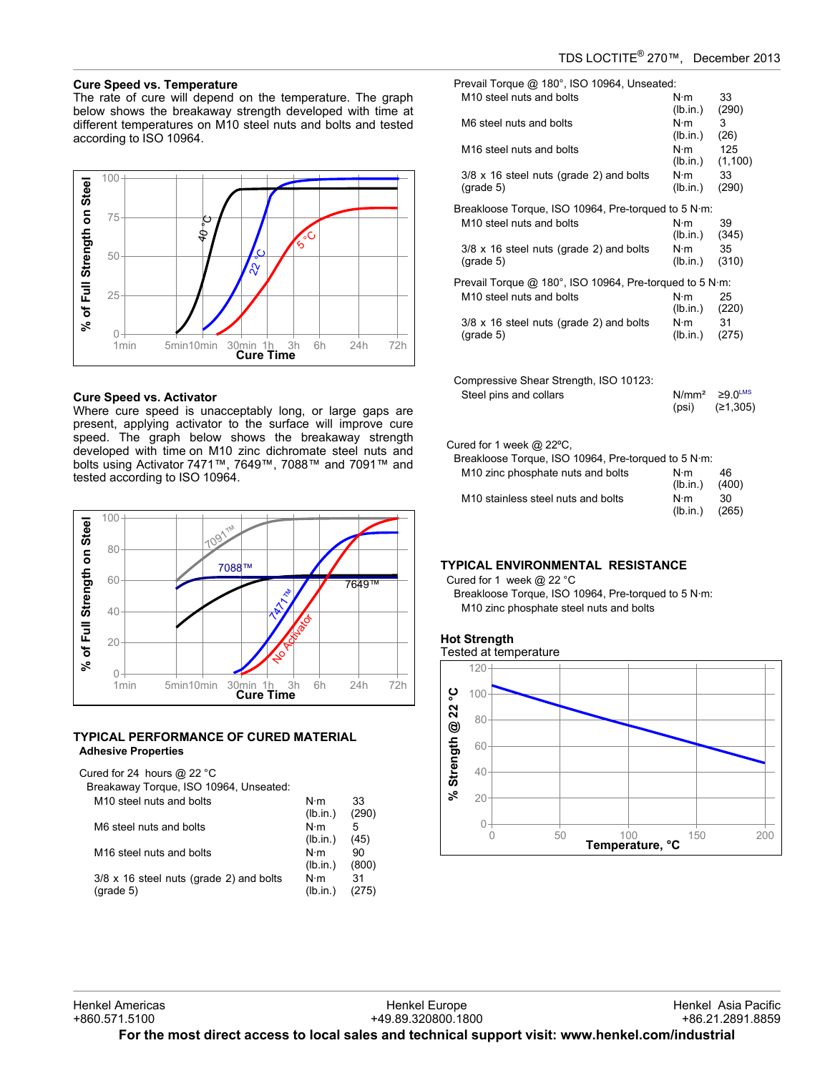# TDS LOCTITE® 270™, December-2013

## **Cure Speed vs. Temperature**

The rate of cure will depend on the temperature. The graph below shows the breakaway strength developed with time at different temperatures on M10 steel nuts and bolts and tested according to ISO 10964.



#### **Cure Speed vs. Activator**

Where cure speed is unacceptably long, or large gaps are present, applying activator to the surface will improve cure speed. The graph below shows the breakaway strength developed with time on M10 zinc dichromate steel nuts and bolts using Activator 7471™, 7649™, 7088™ and 7091™ and tested according to ISO 10964.



### **TYPICAL PERFORMANCE OF CURED MATERIAL Adhesive Properties**

| Cured for 24 hours @ 22 $^{\circ}$ C<br>Breakaway Torque, ISO 10964, Unseated: |                 |             |
|--------------------------------------------------------------------------------|-----------------|-------------|
| M <sub>10</sub> steel nuts and bolts                                           | N⋅m<br>(lb.in.) | 33<br>(290) |
| M6 steel nuts and bolts                                                        | N∙m<br>(lb.in.) | 5<br>(45)   |
| M <sub>16</sub> steel nuts and bolts                                           | N⋅m<br>(lb.in.) | 90<br>(800) |
| $3/8 \times 16$ steel nuts (grade 2) and bolts<br>$(\text{grade } 5)$          | N⋅m<br>(lb.in.) | 31<br>75)   |

Prevail Torque @ 180°, ISO 10964, Unseated:  $M10$  steel nuts and bolts  $N \cdot m$  33

| M TO STEEL NUTS AND DOITS                               | IN-ITI            | 33                      |
|---------------------------------------------------------|-------------------|-------------------------|
|                                                         | (lb.in.)          | (290)                   |
| M6 steel nuts and bolts                                 | $N \cdot m$       | 3                       |
|                                                         | (lb.in.)          | (26)                    |
| M <sub>16</sub> steel nuts and bolts                    | $N \cdot m$       | 125                     |
|                                                         | (lb.in.)          | (1, 100)                |
| $3/8 \times 16$ steel nuts (grade 2) and bolts          | $N \cdot m$       | 33                      |
| $(grade 5)$                                             | (lb.in.)          | (290)                   |
| Breakloose Torque, ISO 10964, Pre-torqued to 5 N·m:     |                   |                         |
| M <sub>10</sub> steel nuts and bolts                    | $N \cdot m$       | 39                      |
|                                                         | (lb.in.)          | (345)                   |
| $3/8 \times 16$ steel nuts (grade 2) and bolts          | $N \cdot m$       | 35                      |
| $(grade 5)$                                             | (lb.in.)          | (310)                   |
|                                                         |                   |                         |
| Prevail Torque @ 180°, ISO 10964, Pre-torqued to 5 N·m: |                   |                         |
| M <sub>10</sub> steel nuts and bolts                    | $N \cdot m$       | 25                      |
|                                                         | (lb.in.)          | (220)                   |
| $3/8 \times 16$ steel nuts (grade 2) and bolts          | $N \cdot m$       | 31                      |
| $(grade 5)$                                             | (lb.in.)          | (275)                   |
|                                                         |                   |                         |
|                                                         |                   |                         |
| Compressive Shear Strength, ISO 10123:                  |                   |                         |
| Steel pins and collars                                  | N/mm <sup>2</sup> | $\geq 9.0^{\text{LMS}}$ |
|                                                         | (psi)             | (≥1,305)                |
|                                                         |                   |                         |

#### Cured for 1 week @ 22ºC,

| Breakloose Torque, ISO 10964, Pre-torqued to 5 N·m: |             |       |
|-----------------------------------------------------|-------------|-------|
| M <sub>10</sub> zinc phosphate nuts and bolts       | N⋅m         | 46    |
|                                                     | (lb.in.)    | (400) |
| M <sub>10</sub> stainless steel nuts and bolts      | $N \cdot m$ | 30.   |
|                                                     | (lb.in.)    | (265) |

## **TYPICAL ENVIRONMENTAL RESISTANCE**

Cured for 1 week @ 22 °C

Breakloose Torque, ISO 10964, Pre-torqued to 5 N·m: M10 zinc phosphate steel nuts and bolts





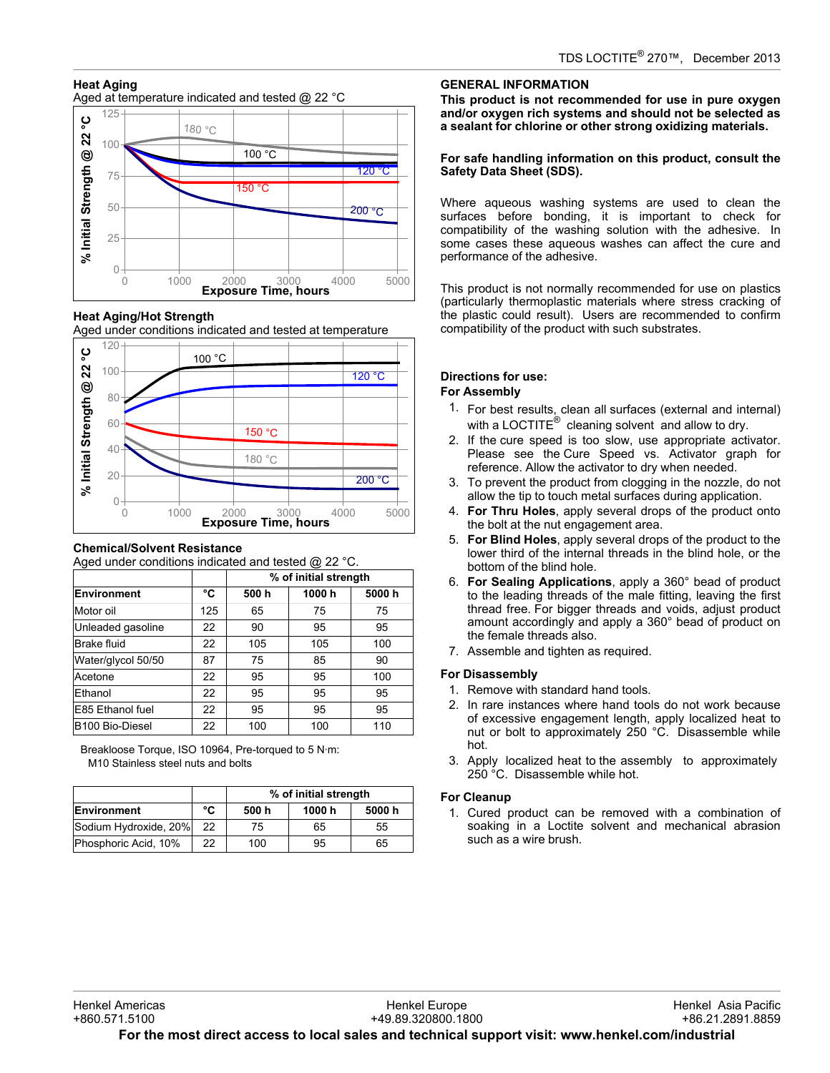# **Heat Aging**

Aged at temperature indicated and tested @ 22 °C



**Heat Aging/Hot Strength**

Aged under conditions indicated and tested at temperature



## **Chemical/Solvent Resistance**

Aged under conditions indicated and tested @ 22 °C.

|                    |     | % of initial strength |       |        |
|--------------------|-----|-----------------------|-------|--------|
| <b>Environment</b> | °C  | 500 h                 | 1000h | 5000 h |
| Motor oil          | 125 | 65                    | 75    | 75     |
| Unleaded gasoline  | 22  | 90                    | 95    | 95     |
| Brake fluid        | 22  | 105                   | 105   | 100    |
| Water/glycol 50/50 | 87  | 75                    | 85    | 90     |
| Acetone            | 22  | 95                    | 95    | 100    |
| Ethanol            | 22  | 95                    | 95    | 95     |
| E85 Ethanol fuel   | 22  | 95                    | 95    | 95     |
| B100 Bio-Diesel    | 22  | 100                   | 100   | 110    |

Breakloose Torque, ISO 10964, Pre-torqued to 5 N·m: M10 Stainless steel nuts and bolts

|                       |    | % of initial strength |        |       |
|-----------------------|----|-----------------------|--------|-------|
| Environment           | °C | 500 h                 | 1000 h | 5000h |
| Sodium Hydroxide, 20% | 22 | 75                    | 65     | 55    |
| Phosphoric Acid, 10%  | 22 | 100                   | 95     | 65    |

# **GENERAL INFORMATION**

**This product is not recommended for use in pure oxygen and/or oxygen rich systems and should not be selected as a sealant for chlorine or other strong oxidizing materials.**

## **For safe handling information on this product, consult the Safety Data Sheet (SDS).**

Where aqueous washing systems are used to clean the surfaces before bonding, it is important to check for compatibility of the washing solution with the adhesive. In some cases these aqueous washes can affect the cure and performance of the adhesive.

This product is not normally recommended for use on plastics (particularly thermoplastic materials where stress cracking of the plastic could result). Users are recommended to confirm compatibility of the product with such substrates.

# **Directions for use:**

## **For Assembly**

- 1. For best results, clean all surfaces (external and internal) with a LOCTITE $^{\circledR}$  cleaning solvent and allow to dry.
- 2. If the cure speed is too slow, use appropriate activator. Please see the Cure Speed vs. Activator graph for reference. Allow the activator to dry when needed.
- 3. To prevent the product from clogging in the nozzle, do not allow the tip to touch metal surfaces during application.
- 4. **For Thru Holes**, apply several drops of the product onto the bolt at the nut engagement area.
- 5. **For Blind Holes**, apply several drops of the product to the lower third of the internal threads in the blind hole, or the bottom of the blind hole.
- 6. **For Sealing Applications**, apply a 360° bead of product to the leading threads of the male fitting, leaving the first thread free. For bigger threads and voids, adjust product amount accordingly and apply a 360° bead of product on the female threads also.
- 7. Assemble and tighten as required.

## **For Disassembly**

- 1. Remove with standard hand tools.
- 2. In rare instances where hand tools do not work because of excessive engagement length, apply localized heat to nut or bolt to approximately 250 °C. Disassemble while hot.
- 3. Apply localized heat to the assembly to approximately 250 °C. Disassemble while hot.

## **For Cleanup**

1. Cured product can be removed with a combination of soaking in a Loctite solvent and mechanical abrasion such as a wire brush.